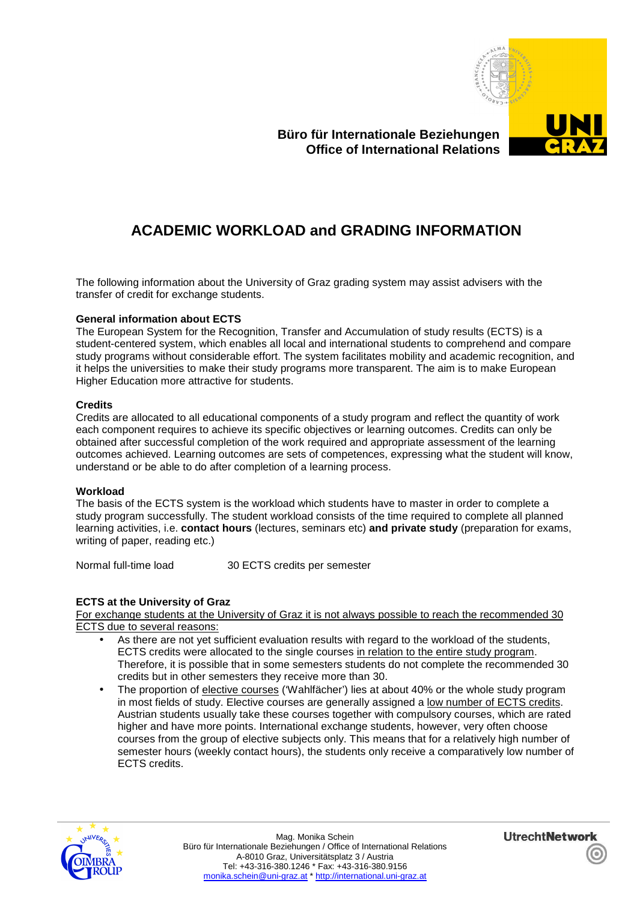

# **Büro für Internationale Beziehungen Office of International Relations**

# **ACADEMIC WORKLOAD and GRADING INFORMATION**

The following information about the University of Graz grading system may assist advisers with the transfer of credit for exchange students.

## **General information about ECTS**

The European System for the Recognition, Transfer and Accumulation of study results (ECTS) is a student-centered system, which enables all local and international students to comprehend and compare study programs without considerable effort. The system facilitates mobility and academic recognition, and it helps the universities to make their study programs more transparent. The aim is to make European Higher Education more attractive for students.

#### **Credits**

Credits are allocated to all educational components of a study program and reflect the quantity of work each component requires to achieve its specific objectives or learning outcomes. Credits can only be obtained after successful completion of the work required and appropriate assessment of the learning outcomes achieved. Learning outcomes are sets of competences, expressing what the student will know, understand or be able to do after completion of a learning process.

#### **Workload**

The basis of the ECTS system is the workload which students have to master in order to complete a study program successfully. The student workload consists of the time required to complete all planned learning activities, i.e. **contact hours** (lectures, seminars etc) **and private study** (preparation for exams, writing of paper, reading etc.)

Normal full-time load 30 ECTS credits per semester

## **ECTS at the University of Graz**

For exchange students at the University of Graz it is not always possible to reach the recommended 30 ECTS due to several reasons:

- As there are not yet sufficient evaluation results with regard to the workload of the students, ECTS credits were allocated to the single courses in relation to the entire study program. Therefore, it is possible that in some semesters students do not complete the recommended 30 credits but in other semesters they receive more than 30.
- The proportion of elective courses ('Wahlfächer') lies at about 40% or the whole study program in most fields of study. Elective courses are generally assigned a low number of ECTS credits. Austrian students usually take these courses together with compulsory courses, which are rated higher and have more points. International exchange students, however, very often choose courses from the group of elective subjects only. This means that for a relatively high number of semester hours (weekly contact hours), the students only receive a comparatively low number of ECTS credits.